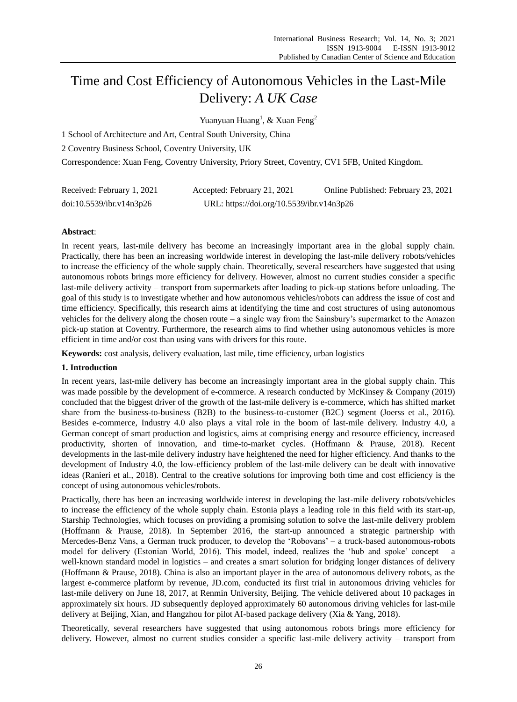# Time and Cost Efficiency of Autonomous Vehicles in the Last-Mile Delivery: *A UK Case*

Yuanyuan Huang<sup>1</sup>, & Xuan Feng<sup>2</sup>

1 School of Architecture and Art, Central South University, China

2 Coventry Business School, Coventry University, UK

Correspondence: Xuan Feng, Coventry University, Priory Street, Coventry, CV1 5FB, United Kingdom.

| Received: February 1, 2021 | Accepted: February 21, 2021               | Online Published: February 23, 2021 |
|----------------------------|-------------------------------------------|-------------------------------------|
| doi:10.5539/ibr.v14n3p26   | URL: https://doi.org/10.5539/ibr.v14n3p26 |                                     |

# **Abstract**:

In recent years, last-mile delivery has become an increasingly important area in the global supply chain. Practically, there has been an increasing worldwide interest in developing the last-mile delivery robots/vehicles to increase the efficiency of the whole supply chain. Theoretically, several researchers have suggested that using autonomous robots brings more efficiency for delivery. However, almost no current studies consider a specific last-mile delivery activity – transport from supermarkets after loading to pick-up stations before unloading. The goal of this study is to investigate whether and how autonomous vehicles/robots can address the issue of cost and time efficiency. Specifically, this research aims at identifying the time and cost structures of using autonomous vehicles for the delivery along the chosen route – a single way from the Sainsbury's supermarket to the Amazon pick-up station at Coventry. Furthermore, the research aims to find whether using autonomous vehicles is more efficient in time and/or cost than using vans with drivers for this route.

**Keywords:** cost analysis, delivery evaluation, last mile, time efficiency, urban logistics

# **1. Introduction**

In recent years, last-mile delivery has become an increasingly important area in the global supply chain. This was made possible by the development of e-commerce. A research conducted by McKinsey & Company (2019) concluded that the biggest driver of the growth of the last-mile delivery is e-commerce, which has shifted market share from the business-to-business (B2B) to the business-to-customer (B2C) segment (Joerss et al., 2016). Besides e-commerce, Industry 4.0 also plays a vital role in the boom of last-mile delivery. Industry 4.0, a German concept of smart production and logistics, aims at comprising energy and resource efficiency, increased productivity, shorten of innovation, and time-to-market cycles. (Hoffmann & Prause, 2018). Recent developments in the last-mile delivery industry have heightened the need for higher efficiency. And thanks to the development of Industry 4.0, the low-efficiency problem of the last-mile delivery can be dealt with innovative ideas (Ranieri et al., 2018). Central to the creative solutions for improving both time and cost efficiency is the concept of using autonomous vehicles/robots.

Practically, there has been an increasing worldwide interest in developing the last-mile delivery robots/vehicles to increase the efficiency of the whole supply chain. Estonia plays a leading role in this field with its start-up, Starship Technologies, which focuses on providing a promising solution to solve the last-mile delivery problem (Hoffmann & Prause, 2018). In September 2016, the start-up announced a strategic partnership with Mercedes-Benz Vans, a German truck producer, to develop the 'Robovans' – a truck-based autonomous-robots model for delivery (Estonian World, 2016). This model, indeed, realizes the 'hub and spoke' concept – a well-known standard model in logistics – and creates a smart solution for bridging longer distances of delivery (Hoffmann & Prause, 2018). China is also an important player in the area of autonomous delivery robots, as the largest e-commerce platform by revenue, JD.com, conducted its first trial in autonomous driving vehicles for last-mile delivery on June 18, 2017, at Renmin University, Beijing. The vehicle delivered about 10 packages in approximately six hours. JD subsequently deployed approximately 60 autonomous driving vehicles for last-mile delivery at Beijing, Xian, and Hangzhou for pilot AI-based package delivery (Xia & Yang, 2018).

Theoretically, several researchers have suggested that using autonomous robots brings more efficiency for delivery. However, almost no current studies consider a specific last-mile delivery activity – transport from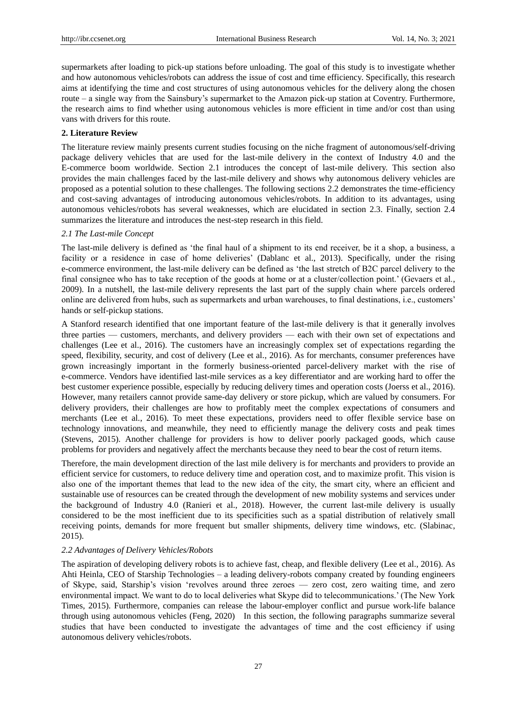supermarkets after loading to pick-up stations before unloading. The goal of this study is to investigate whether and how autonomous vehicles/robots can address the issue of cost and time efficiency. Specifically, this research aims at identifying the time and cost structures of using autonomous vehicles for the delivery along the chosen route – a single way from the Sainsbury's supermarket to the Amazon pick-up station at Coventry. Furthermore, the research aims to find whether using autonomous vehicles is more efficient in time and/or cost than using vans with drivers for this route.

# **2. Literature Review**

The literature review mainly presents current studies focusing on the niche fragment of autonomous/self-driving package delivery vehicles that are used for the last-mile delivery in the context of Industry 4.0 and the E-commerce boom worldwide. Section 2.1 introduces the concept of last-mile delivery. This section also provides the main challenges faced by the last-mile delivery and shows why autonomous delivery vehicles are proposed as a potential solution to these challenges. The following sections 2.2 demonstrates the time-efficiency and cost-saving advantages of introducing autonomous vehicles/robots. In addition to its advantages, using autonomous vehicles/robots has several weaknesses, which are elucidated in section 2.3. Finally, section 2.4 summarizes the literature and introduces the nest-step research in this field.

# *2.1 The Last-mile Concept*

The last-mile delivery is defined as 'the final haul of a shipment to its end receiver, be it a shop, a business, a facility or a residence in case of home deliveries' (Dablanc et al., 2013). Specifically, under the rising e-commerce environment, the last-mile delivery can be defined as 'the last stretch of B2C parcel delivery to the final consignee who has to take reception of the goods at home or at a cluster/collection point.' (Gevaers et al., 2009). In a nutshell, the last-mile delivery represents the last part of the supply chain where parcels ordered online are delivered from hubs, such as supermarkets and urban warehouses, to final destinations, i.e., customers' hands or self-pickup stations.

A Stanford research identified that one important feature of the last-mile delivery is that it generally involves three parties — customers, merchants, and delivery providers — each with their own set of expectations and challenges (Lee et al., 2016). The customers have an increasingly complex set of expectations regarding the speed, flexibility, security, and cost of delivery (Lee et al., 2016). As for merchants, consumer preferences have grown increasingly important in the formerly business-oriented parcel-delivery market with the rise of e-commerce. Vendors have identified last-mile services as a key differentiator and are working hard to offer the best customer experience possible, especially by reducing delivery times and operation costs (Joerss et al., 2016). However, many retailers cannot provide same-day delivery or store pickup, which are valued by consumers. For delivery providers, their challenges are how to profitably meet the complex expectations of consumers and merchants (Lee et al., 2016). To meet these expectations, providers need to offer flexible service base on technology innovations, and meanwhile, they need to efficiently manage the delivery costs and peak times (Stevens, 2015). Another challenge for providers is how to deliver poorly packaged goods, which cause problems for providers and negatively affect the merchants because they need to bear the cost of return items.

Therefore, the main development direction of the last mile delivery is for merchants and providers to provide an efficient service for customers, to reduce delivery time and operation cost, and to maximize profit. This vision is also one of the important themes that lead to the new idea of the city, the smart city, where an efficient and sustainable use of resources can be created through the development of new mobility systems and services under the background of Industry 4.0 (Ranieri et al., 2018). However, the current last-mile delivery is usually considered to be the most inefficient due to its specificities such as a spatial distribution of relatively small receiving points, demands for more frequent but smaller shipments, delivery time windows, etc. (Slabinac, 2015).

# *2.2 Advantages of Delivery Vehicles/Robots*

The aspiration of developing delivery robots is to achieve fast, cheap, and flexible delivery (Lee et al., 2016). As Ahti Heinla, CEO of Starship Technologies – a leading delivery-robots company created by founding engineers of Skype, said, Starship's vision 'revolves around three zeroes — zero cost, zero waiting time, and zero environmental impact. We want to do to local deliveries what Skype did to telecommunications.' (The New York Times, 2015). Furthermore, companies can release the labour-employer conflict and pursue work-life balance through using autonomous vehicles (Feng, 2020) In this section, the following paragraphs summarize several studies that have been conducted to investigate the advantages of time and the cost efficiency if using autonomous delivery vehicles/robots.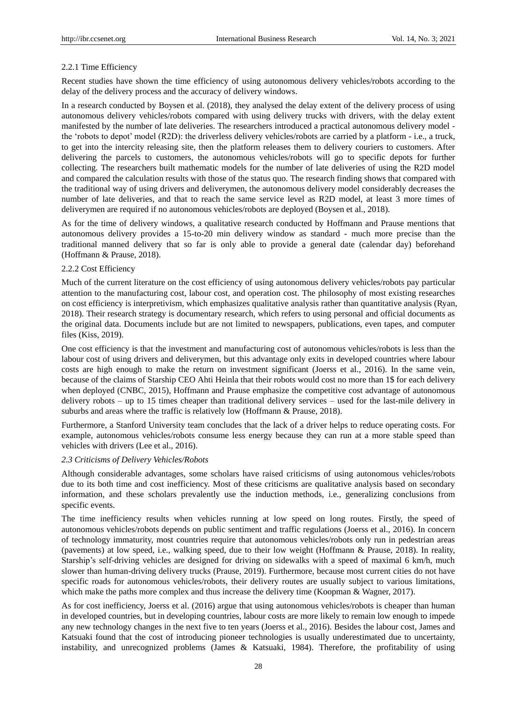## 2.2.1 Time Efficiency

Recent studies have shown the time efficiency of using autonomous delivery vehicles/robots according to the delay of the delivery process and the accuracy of delivery windows.

In a research conducted by Boysen et al. (2018), they analysed the delay extent of the delivery process of using autonomous delivery vehicles/robots compared with using delivery trucks with drivers, with the delay extent manifested by the number of late deliveries. The researchers introduced a practical autonomous delivery model the 'robots to depot' model (R2D): the driverless delivery vehicles/robots are carried by a platform - i.e., a truck, to get into the intercity releasing site, then the platform releases them to delivery couriers to customers. After delivering the parcels to customers, the autonomous vehicles/robots will go to specific depots for further collecting. The researchers built mathematic models for the number of late deliveries of using the R2D model and compared the calculation results with those of the status quo. The research finding shows that compared with the traditional way of using drivers and deliverymen, the autonomous delivery model considerably decreases the number of late deliveries, and that to reach the same service level as R2D model, at least 3 more times of deliverymen are required if no autonomous vehicles/robots are deployed (Boysen et al., 2018).

As for the time of delivery windows, a qualitative research conducted by Hoffmann and Prause mentions that autonomous delivery provides a 15-to-20 min delivery window as standard - much more precise than the traditional manned delivery that so far is only able to provide a general date (calendar day) beforehand (Hoffmann & Prause, 2018).

## 2.2.2 Cost Efficiency

Much of the current literature on the cost efficiency of using autonomous delivery vehicles/robots pay particular attention to the manufacturing cost, labour cost, and operation cost. The philosophy of most existing researches on cost efficiency is interpretivism, which emphasizes qualitative analysis rather than quantitative analysis (Ryan, 2018). Their research strategy is documentary research, which refers to using personal and official documents as the original data. Documents include but are not limited to newspapers, publications, even tapes, and computer files (Kiss, 2019).

One cost efficiency is that the investment and manufacturing cost of autonomous vehicles/robots is less than the labour cost of using drivers and deliverymen, but this advantage only exits in developed countries where labour costs are high enough to make the return on investment significant (Joerss et al., 2016). In the same vein, because of the claims of Starship CEO Ahti Heinla that their robots would cost no more than 1\$ for each delivery when deployed (CNBC, 2015), Hoffmann and Prause emphasize the competitive cost advantage of autonomous delivery robots – up to 15 times cheaper than traditional delivery services – used for the last-mile delivery in suburbs and areas where the traffic is relatively low (Hoffmann & Prause, 2018).

Furthermore, a Stanford University team concludes that the lack of a driver helps to reduce operating costs. For example, autonomous vehicles/robots consume less energy because they can run at a more stable speed than vehicles with drivers (Lee et al., 2016).

## *2.3 Criticisms of Delivery Vehicles/Robots*

Although considerable advantages, some scholars have raised criticisms of using autonomous vehicles/robots due to its both time and cost inefficiency. Most of these criticisms are qualitative analysis based on secondary information, and these scholars prevalently use the induction methods, i.e., generalizing conclusions from specific events.

The time inefficiency results when vehicles running at low speed on long routes. Firstly, the speed of autonomous vehicles/robots depends on public sentiment and traffic regulations (Joerss et al., 2016). In concern of technology immaturity, most countries require that autonomous vehicles/robots only run in pedestrian areas (pavements) at low speed, i.e., walking speed, due to their low weight (Hoffmann & Prause, 2018). In reality, Starship's self-driving vehicles are designed for driving on sidewalks with a speed of maximal 6 km/h, much slower than human-driving delivery trucks (Prause, 2019). Furthermore, because most current cities do not have specific roads for autonomous vehicles/robots, their delivery routes are usually subject to various limitations, which make the paths more complex and thus increase the delivery time (Koopman & Wagner, 2017).

As for cost inefficiency, Joerss et al. (2016) argue that using autonomous vehicles/robots is cheaper than human in developed countries, but in developing countries, labour costs are more likely to remain low enough to impede any new technology changes in the next five to ten years (Joerss et al., 2016). Besides the labour cost, James and Katsuaki found that the cost of introducing pioneer technologies is usually underestimated due to uncertainty, instability, and unrecognized problems (James & Katsuaki, 1984). Therefore, the profitability of using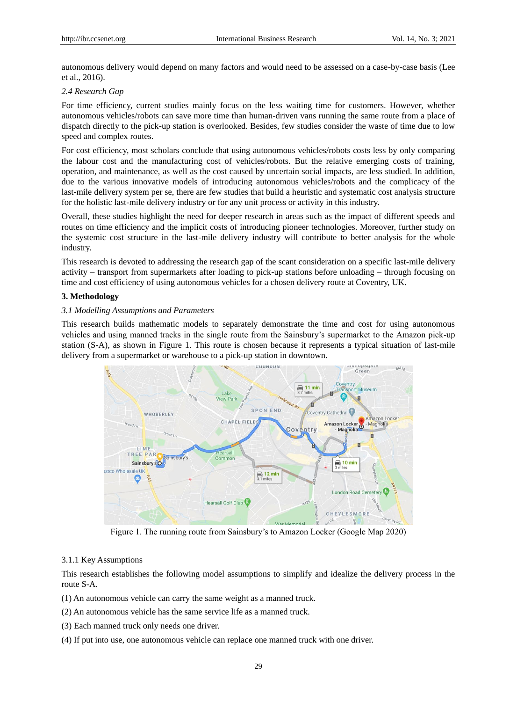autonomous delivery would depend on many factors and would need to be assessed on a case-by-case basis (Lee et al., 2016).

### *2.4 Research Gap*

For time efficiency, current studies mainly focus on the less waiting time for customers. However, whether autonomous vehicles/robots can save more time than human-driven vans running the same route from a place of dispatch directly to the pick-up station is overlooked. Besides, few studies consider the waste of time due to low speed and complex routes.

For cost efficiency, most scholars conclude that using autonomous vehicles/robots costs less by only comparing the labour cost and the manufacturing cost of vehicles/robots. But the relative emerging costs of training, operation, and maintenance, as well as the cost caused by uncertain social impacts, are less studied. In addition, due to the various innovative models of introducing autonomous vehicles/robots and the complicacy of the last-mile delivery system per se, there are few studies that build a heuristic and systematic cost analysis structure for the holistic last-mile delivery industry or for any unit process or activity in this industry.

Overall, these studies highlight the need for deeper research in areas such as the impact of different speeds and routes on time efficiency and the implicit costs of introducing pioneer technologies. Moreover, further study on the systemic cost structure in the last-mile delivery industry will contribute to better analysis for the whole industry.

This research is devoted to addressing the research gap of the scant consideration on a specific last-mile delivery activity – transport from supermarkets after loading to pick-up stations before unloading – through focusing on time and cost efficiency of using autonomous vehicles for a chosen delivery route at Coventry, UK.

## **3. Methodology**

## *3.1 Modelling Assumptions and Parameters*

This research builds mathematic models to separately demonstrate the time and cost for using autonomous vehicles and using manned tracks in the single route from the Sainsbury's supermarket to the Amazon pick-up station (S-A), as shown in Figure 1. This route is chosen because it represents a typical situation of last-mile delivery from a supermarket or warehouse to a pick-up station in downtown.



Figure 1. The running route from Sainsbury's to Amazon Locker (Google Map 2020)

#### 3.1.1 Key Assumptions

This research establishes the following model assumptions to simplify and idealize the delivery process in the route S-A.

- (1) An autonomous vehicle can carry the same weight as a manned truck.
- (2) An autonomous vehicle has the same service life as a manned truck.
- (3) Each manned truck only needs one driver.
- (4) If put into use, one autonomous vehicle can replace one manned truck with one driver.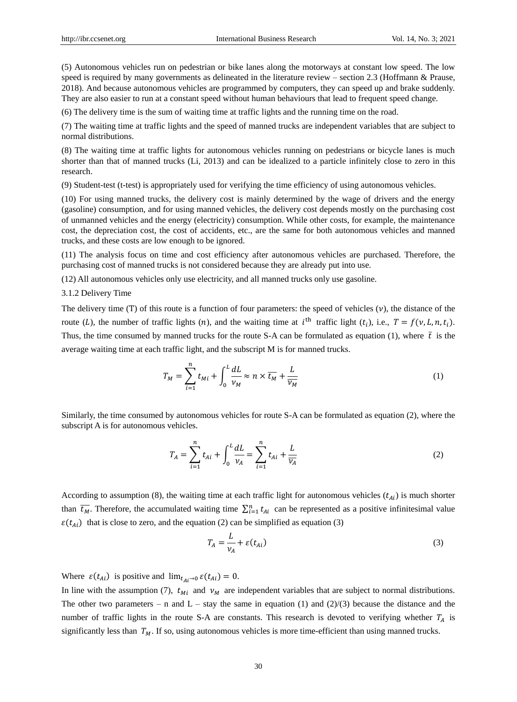(5) Autonomous vehicles run on pedestrian or bike lanes along the motorways at constant low speed. The low speed is required by many governments as delineated in the literature review – section 2.3 (Hoffmann & Prause, 2018). And because autonomous vehicles are programmed by computers, they can speed up and brake suddenly. They are also easier to run at a constant speed without human behaviours that lead to frequent speed change.

(6) The delivery time is the sum of waiting time at traffic lights and the running time on the road.

(7) The waiting time at traffic lights and the speed of manned trucks are independent variables that are subject to normal distributions.

(8) The waiting time at traffic lights for autonomous vehicles running on pedestrians or bicycle lanes is much shorter than that of manned trucks (Li, 2013) and can be idealized to a particle infinitely close to zero in this research.

(9) Student-test (t-test) is appropriately used for verifying the time efficiency of using autonomous vehicles.

(10) For using manned trucks, the delivery cost is mainly determined by the wage of drivers and the energy (gasoline) consumption, and for using manned vehicles, the delivery cost depends mostly on the purchasing cost of unmanned vehicles and the energy (electricity) consumption. While other costs, for example, the maintenance cost, the depreciation cost, the cost of accidents, etc., are the same for both autonomous vehicles and manned trucks, and these costs are low enough to be ignored.

(11) The analysis focus on time and cost efficiency after autonomous vehicles are purchased. Therefore, the purchasing cost of manned trucks is not considered because they are already put into use.

(12) All autonomous vehicles only use electricity, and all manned trucks only use gasoline.

3.1.2 Delivery Time

The delivery time (T) of this route is a function of four parameters: the speed of vehicles ( $\nu$ ), the distance of the route (L), the number of traffic lights (n), and the waiting time at  $i^{\text{th}}$  traffic light ( $t_i$ ), i.e.,  $T = f(v, L, n, t_i)$ . Thus, the time consumed by manned trucks for the route S-A can be formulated as equation (1), where  $\bar{t}$  is the average waiting time at each traffic light, and the subscript M is for manned trucks.

$$
T_M = \sum_{i=1}^n t_{Mi} + \int_0^L \frac{dL}{\nu_M} \approx n \times \overline{t_M} + \frac{L}{\overline{\nu_M}}
$$
(1)

Similarly, the time consumed by autonomous vehicles for route S-A can be formulated as equation (2), where the subscript A is for autonomous vehicles.

$$
T_A = \sum_{i=1}^{n} t_{Ai} + \int_0^L \frac{dL}{\nu_A} = \sum_{i=1}^{n} t_{Ai} + \frac{L}{\overline{\nu_A}}
$$
 (2)

According to assumption (8), the waiting time at each traffic light for autonomous vehicles  $(t_{Ai})$  is much shorter than  $\overline{t_M}$ . Therefore, the accumulated waiting time  $\sum_{i=1}^n t_{Ai}$  can be represented as a positive infinitesimal value  $\varepsilon(t_{Ai})$  that is close to zero, and the equation (2) can be simplified as equation (3)

$$
T_A = \frac{L}{v_A} + \varepsilon(t_{Ai})
$$
\n(3)

Where  $\varepsilon(t_{Ai})$  is positive and  $\lim_{t \to 0} \varepsilon(t_{Ai}) = 0$ .

In line with the assumption (7),  $t_{Mi}$  and  $v_M$  are independent variables that are subject to normal distributions. The other two parameters – n and  $L -$  stay the same in equation (1) and (2)/(3) because the distance and the number of traffic lights in the route S-A are constants. This research is devoted to verifying whether  $T_A$  is significantly less than  $T_M$ . If so, using autonomous vehicles is more time-efficient than using manned trucks.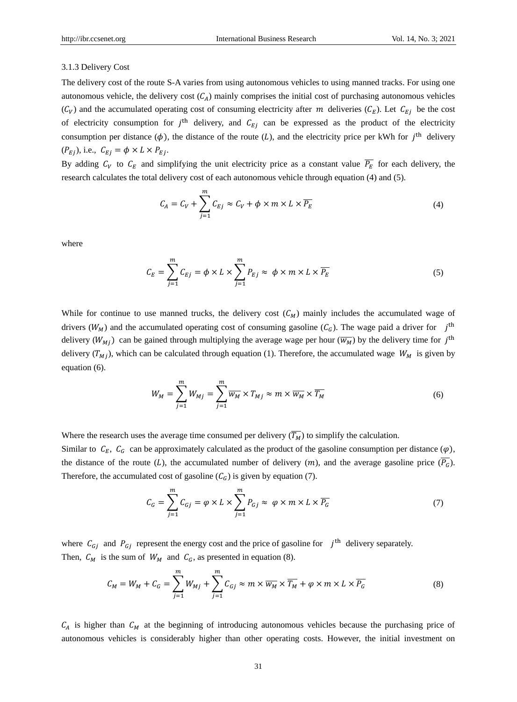#### 3.1.3 Delivery Cost

The delivery cost of the route S-A varies from using autonomous vehicles to using manned tracks. For using one autonomous vehicle, the delivery cost  $(C_A)$  mainly comprises the initial cost of purchasing autonomous vehicles  $(C_V)$  and the accumulated operating cost of consuming electricity after m deliveries  $(C_E)$ . Let  $C_{Ej}$  be the cost of electricity consumption for  $j<sup>th</sup>$  delivery, and  $C_{Ej}$  can be expressed as the product of the electricity consumption per distance  $(\phi)$ , the distance of the route (L), and the electricity price per kWh for  $j<sup>th</sup>$  delivery  $(P_{Ej})$ , i.e.,  $C_{Ej} = \phi \times L \times P_{Ej}$ .

By adding  $C_V$  to  $C_E$  and simplifying the unit electricity price as a constant value  $\overline{P_E}$  for each delivery, the research calculates the total delivery cost of each autonomous vehicle through equation (4) and (5).

$$
C_A = C_V + \sum_{j=1}^{m} C_{Ej} \approx C_V + \phi \times m \times L \times \overline{P_E}
$$
 (4)

where

$$
C_E = \sum_{j=1}^{m} C_{Ej} = \phi \times L \times \sum_{j=1}^{m} P_{Ej} \approx \phi \times m \times L \times \overline{P_E}
$$
 (5)

While for continue to use manned trucks, the delivery cost  $(C_M)$  mainly includes the accumulated wage of drivers ( $W_M$ ) and the accumulated operating cost of consuming gasoline ( $C_G$ ). The wage paid a driver for j<sup>th</sup> delivery  $(W_{Mj})$  can be gained through multiplying the average wage per hour  $(\overline{W_M})$  by the delivery time for  $j^{\text{th}}$ delivery  $(T_{Mj})$ , which can be calculated through equation (1). Therefore, the accumulated wage  $W_M$  is given by equation (6).

$$
W_M = \sum_{j=1}^m W_{Mj} = \sum_{j=1}^m \overline{w_M} \times T_{Mj} \approx m \times \overline{w_M} \times \overline{T_M}
$$
 (6)

Where the research uses the average time consumed per delivery  $(\overline{T_M})$  to simplify the calculation.

Similar to  $C_E$ ,  $C_G$  can be approximately calculated as the product of the gasoline consumption per distance  $(\varphi)$ , the distance of the route (*L*), the accumulated number of delivery (*m*), and the average gasoline price  $(\overline{P_G})$ . Therefore, the accumulated cost of gasoline  $(C_G)$  is given by equation (7).

$$
C_G = \sum_{j=1}^{m} C_{Gj} = \varphi \times L \times \sum_{j=1}^{m} P_{Gj} \approx \varphi \times m \times L \times \overline{P_G}
$$
 (7)

where  $C_{Gj}$  and  $P_{Gj}$  represent the energy cost and the price of gasoline for  $j^{\text{th}}$  delivery separately. Then,  $C_M$  is the sum of  $W_M$  and  $C_G$ , as presented in equation (8).

$$
C_M = W_M + C_G = \sum_{j=1}^m W_{Mj} + \sum_{j=1}^m C_{Gj} \approx m \times \overline{w_M} \times \overline{T_M} + \varphi \times m \times L \times \overline{P_G}
$$
(8)

 $C_A$  is higher than  $C_M$  at the beginning of introducing autonomous vehicles because the purchasing price of autonomous vehicles is considerably higher than other operating costs. However, the initial investment on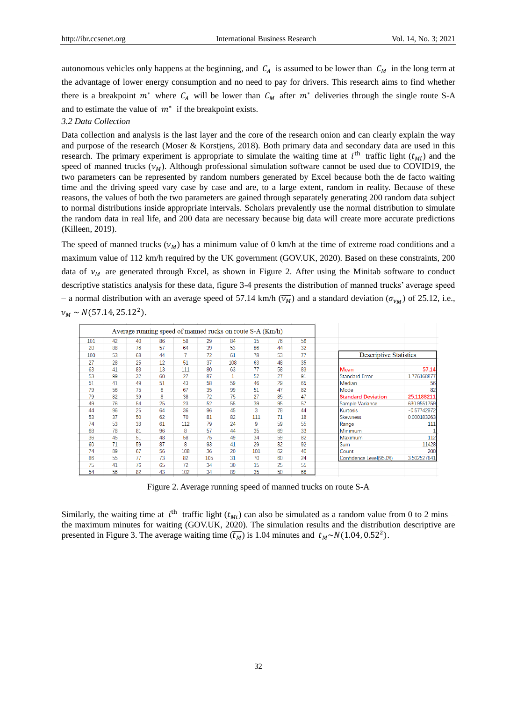autonomous vehicles only happens at the beginning, and  $C_A$  is assumed to be lower than  $C_M$  in the long term at the advantage of lower energy consumption and no need to pay for drivers. This research aims to find whether there is a breakpoint  $m^*$  where  $C_A$  will be lower than  $C_M$  after  $m^*$  deliveries through the single route S-A and to estimate the value of  $m^*$  if the breakpoint exists.

## *3.2 Data Collection*

Data collection and analysis is the last layer and the core of the research onion and can clearly explain the way and purpose of the research (Moser & Korstjens, 2018). Both primary data and secondary data are used in this research. The primary experiment is appropriate to simulate the waiting time at  $i^{\text{th}}$  traffic light  $(t_{Mi})$  and the speed of manned trucks  $(v_M)$ . Although professional simulation software cannot be used due to COVID19, the two parameters can be represented by random numbers generated by Excel because both the de facto waiting time and the driving speed vary case by case and are, to a large extent, random in reality. Because of these reasons, the values of both the two parameters are gained through separately generating 200 random data subject to normal distributions inside appropriate intervals. Scholars prevalently use the normal distribution to simulate the random data in real life, and 200 data are necessary because big data will create more accurate predictions (Killeen, 2019).

The speed of manned trucks  $(v_M)$  has a minimum value of 0 km/h at the time of extreme road conditions and a maximum value of 112 km/h required by the UK government (GOV.UK, 2020). Based on these constraints, 200 data of  $v_M$  are generated through Excel, as shown in Figure 2. After using the Minitab software to conduct descriptive statistics analysis for these data, figure 3-4 presents the distribution of manned trucks' average speed - a normal distribution with an average speed of 57.14 km/h  $(\overline{\nu_M})$  and a standard deviation  $(\sigma_{\nu_M})$  of 25.12, i.e.,  $v_M \sim N(57.14, 25.12^2).$ 

| Average running speed of manned rucks on route S-A (Km/h) |    |    |    |     |     |     |     |    |    |                           |                               |  |
|-----------------------------------------------------------|----|----|----|-----|-----|-----|-----|----|----|---------------------------|-------------------------------|--|
| 101                                                       | 42 | 40 | 86 | 58  | 29  | 84  | 15  | 76 | 56 |                           |                               |  |
| 20                                                        | 88 | 76 | 57 | 64  | 39  | 53  | 86  | 44 | 32 |                           |                               |  |
| 100                                                       | 53 | 68 | 44 |     | 72  | 61  | 78  | 53 | 77 |                           | <b>Descriptive Statistics</b> |  |
| 27                                                        | 28 | 25 | 12 | 51  | 37  | 108 | 63  | 48 | 35 |                           |                               |  |
| 63                                                        | 41 | 83 | 13 | 111 | 80  | 63  | 77  | 58 | 83 | Mean                      | 57.14                         |  |
| 53                                                        | 99 | 32 | 60 | 27  | 87  | 1   | 52  | 27 | 91 | <b>Standard Error</b>     | 1.776168877                   |  |
| 51                                                        | 41 | 49 | 51 | 43  | 58  | 59  | 46  | 29 | 65 | Median                    | 56                            |  |
| 79                                                        | 56 | 75 | 6  | 67  | 35  | 99  | 51  | 47 | 82 | Mode                      | 82                            |  |
| 79                                                        | 82 | 39 | 8  | 38  | 72  | 75  | 27  | 85 | 47 | <b>Standard Deviation</b> | 25.1188211                    |  |
| 49                                                        | 76 | 54 | 25 | 23  | 52  | 55  | 39  | 95 | 57 | Sample Variance           | 630.9551759                   |  |
| 44                                                        | 96 | 25 | 64 | 36  | 96  | 45  | 3   | 78 | 44 | <b>Kurtosis</b>           | $-0.57742972$                 |  |
| 53                                                        | 37 | 50 | 62 | 70  | 81  | 82  | 111 | 71 | 18 | <b>Skewness</b>           | 0.000183263                   |  |
| 74                                                        | 53 | 33 | 61 | 112 | 79  | 24  | 9   | 59 | 55 | Range                     | 111                           |  |
| 68                                                        | 78 | 81 | 96 | 8   | 57  | 44  | 35  | 69 | 33 | <b>Minimum</b>            |                               |  |
| 36                                                        | 45 | 51 | 48 | 58  | 75  | 49  | 34  | 59 | 82 | Maximum                   | 112                           |  |
| 60                                                        | 71 | 59 | 87 | 8   | 93  | 41  | 29  | 82 | 92 | Sum                       | 11428                         |  |
| 74                                                        | 89 | 67 | 56 | 108 | 36  | 20  | 101 | 62 | 40 | Count                     | 200                           |  |
| 86                                                        | 55 | 77 | 73 | 82  | 105 | 31  | 70  | 60 | 24 | Confidence Level(95.0%)   | 3.502527841                   |  |
| 75                                                        | 41 | 76 | 65 | 72  | 34  | 30  | 15  | 25 | 55 |                           |                               |  |
| 54                                                        | 56 | 82 | 43 | 102 | 34  | 89  | 35  | 50 | 66 |                           |                               |  |

Figure 2. Average running speed of manned trucks on route S-A

Similarly, the waiting time at  $i^{\text{th}}$  traffic light ( $t_{Mi}$ ) can also be simulated as a random value from 0 to 2 mins – the maximum minutes for waiting (GOV.UK, 2020). The simulation results and the distribution descriptive are presented in Figure 3. The average waiting time  $(\overline{t_M})$  is 1.04 minutes and  $t_M \sim N(1.04, 0.52^2)$ .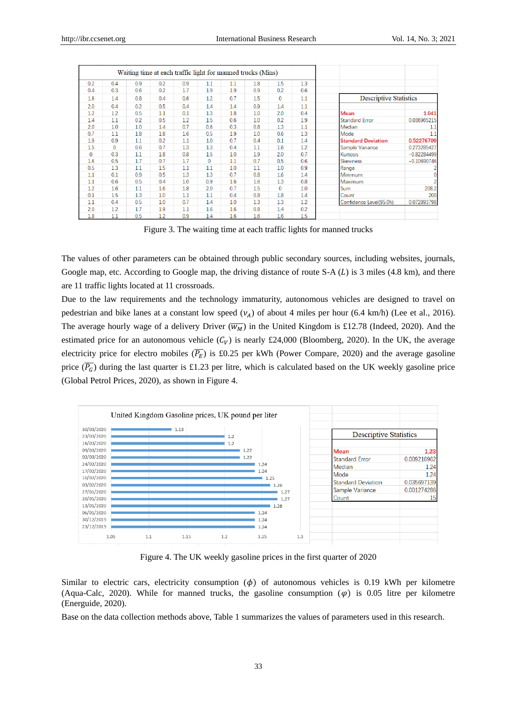| Waiting time at each traffic light for manned trucks (Mins) |              |     |     |     |              |     |     |              |     |                                         |  |
|-------------------------------------------------------------|--------------|-----|-----|-----|--------------|-----|-----|--------------|-----|-----------------------------------------|--|
| 0.2                                                         | 0.4          | 0.9 | 0.2 | 0.9 | 1.1          | 1.1 | 1.8 | 1.5          | 1.3 |                                         |  |
| 0.4                                                         | 0.3          | 0.6 | 0.2 | 1.7 | 1.9          | 1.9 | 0.9 | 0.2          | 0.6 |                                         |  |
| 1.6                                                         | 1.4          | 0.8 | 0.4 | 0.6 | 1.2          | 0.7 | 1.5 | $\mathbf{0}$ | 1.1 | <b>Descriptive Statistics</b>           |  |
| 2.0                                                         | 0.4          | 0.2 | 0.5 | 0.4 | 1.4          | 1.4 | 0.9 | 1.4          | 1.1 |                                         |  |
| 1.2                                                         | 1.2          | 0.5 | 1.1 | 0.1 | 1.3          | 1.8 | 1.0 | 2.0          | 0.4 | 1.041<br>Mean                           |  |
| 1.4                                                         | 1.1          | 0.2 | 0.5 | 1.2 | 1.5          | 0.6 | 1.0 | 0.2          | 1.9 | 0.036965215<br><b>Standard Error</b>    |  |
| 2.0                                                         | 1.0          | 1.0 | 1.4 | 0.7 | 0.6          | 0.3 | 0.8 | 1.3          | 1.1 | Median<br>1.1                           |  |
| 0.7                                                         | 1.1          | 1.8 | 1.8 | 1.6 | 0.5          | 1.9 | 1.0 | 0.6          | 1.3 | 1.1<br>Mode                             |  |
| 1.9                                                         | 0.9          | 1.1 | 0.2 | 1.1 | 1.0          | 0.7 | 0.4 | 0.1          | 1.4 | 0.52276709<br><b>Standard Deviation</b> |  |
| 1.5                                                         | $\mathbf{0}$ | 0.6 | 0.7 | 1.3 | 1.3          | 0.4 | 1.1 | 1.6          | 1.2 | 0.273285427<br>Sample Variance          |  |
| 0                                                           | 0.3          | 1.1 | 1.8 | 0.8 | 1.5          | 1.0 | 1.9 | 2.0          | 0.7 | $-0.82284499$<br>Kurtosis               |  |
| 1.6                                                         | 0.5          | 1.7 | 0.7 | 1.7 | $\mathbf{0}$ | 1.1 | 0.7 | 0.5          | 0.6 | $-0.10690746$<br>Skewness               |  |
| 0.5                                                         | 1.3          | 1.1 | 1.5 | 1.1 | 1.1          | 1.0 | 1.1 | 1.0          | 0.9 | Range                                   |  |
| 1.1                                                         | 0.1          | 0.9 | 0.5 | 1.3 | 1.3          | 0.7 | 0.8 | 1.6          | 1.4 | Minimum                                 |  |
| 1.1                                                         | 0.6          | 0.5 | 0.4 | 1.0 | 0.9          | 1.6 | 1.6 | 1.3          | 0.8 | Maximum                                 |  |
| 1.2                                                         | 1.6          | 1.1 | 1.6 | 1.8 | 2.0          | 0.7 | 1.5 | 0            | 1.0 | 208.2<br><b>Sum</b>                     |  |
| 0.1                                                         | 1.5          | 1.3 | 1.0 | 1.1 | 1.1          | 0.4 | 0.8 | 1.8          | 1.4 | 200<br>Count                            |  |
| 1.1                                                         | 0.4          | 0.5 | 1.0 | 0.7 | 1.4          | 1.0 | 1.3 | 1.3          | 1.2 | 0.072893798<br>Confidence Level(95.0%)  |  |
| 2.0                                                         | 1.2          | 1.7 | 1.9 | 1.1 | 1.6          | 1.6 | 0.8 | 1.4          | 0.2 |                                         |  |
| 1.8                                                         | 1.1          | 0.5 | 1.2 | 0.9 | 1.4          | 1.6 | 1.6 | 1.6          | 1.5 |                                         |  |

Figure 3. The waiting time at each traffic lights for manned trucks

The values of other parameters can be obtained through public secondary sources, including websites, journals, Google map, etc. According to Google map, the driving distance of route  $S-A(L)$  is 3 miles (4.8 km), and there are 11 traffic lights located at 11 crossroads.

Due to the law requirements and the technology immaturity, autonomous vehicles are designed to travel on pedestrian and bike lanes at a constant low speed  $(\nu_A)$  of about 4 miles per hour (6.4 km/h) (Lee et al., 2016). The average hourly wage of a delivery Driver ( $\overline{W_M}$ ) in the United Kingdom is £12.78 (Indeed, 2020). And the estimated price for an autonomous vehicle  $(C_V)$  is nearly £24,000 (Bloomberg, 2020). In the UK, the average electricity price for electro mobiles  $(\overline{P_E})$  is £0.25 per kWh (Power Compare, 2020) and the average gasoline price  $(\overline{P_G})$  during the last quarter is £1.23 per litre, which is calculated based on the UK weekly gasoline price (Global Petrol Prices, 2020), as shown in Figure 4.



Figure 4. The UK weekly gasoline prices in the first quarter of 2020

Similar to electric cars, electricity consumption  $(\phi)$  of autonomous vehicles is 0.19 kWh per kilometre (Aqua-Calc, 2020). While for manned trucks, the gasoline consumption  $(\varphi)$  is 0.05 litre per kilometre (Energuide, 2020).

Base on the data collection methods above, Table 1 summarizes the values of parameters used in this research.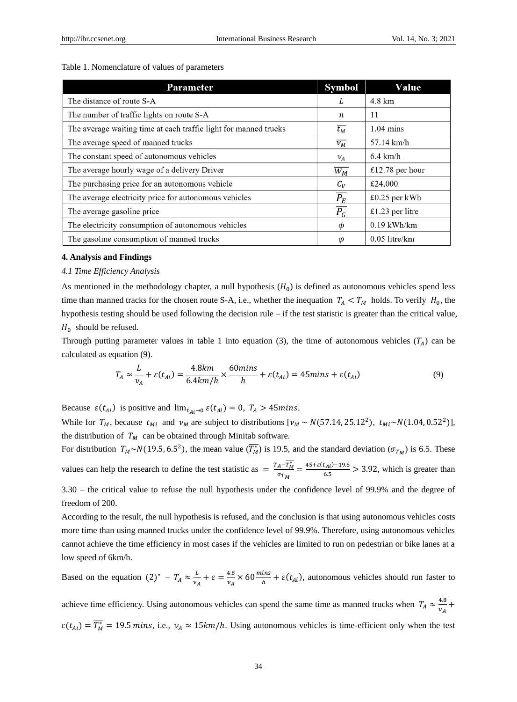# Table 1. Nomenclature of values of parameters

| <b>Parameter</b>                                                 | <b>Symbol</b>      | Value                |
|------------------------------------------------------------------|--------------------|----------------------|
| The distance of route S-A                                        | L                  | 4.8 km               |
| The number of traffic lights on route S-A                        | n                  | 11                   |
| The average waiting time at each traffic light for manned trucks | $\overline{t_M}$   | $1.04 \text{ mins}$  |
| The average speed of manned trucks                               | $\overline{\nu_M}$ | $57.14 \text{ km/h}$ |
| The constant speed of autonomous vehicles                        | $\nu_A$            | $6.4 \text{ km/h}$   |
| The average hourly wage of a delivery Driver                     | $\overline{W_M}$   | £12.78 per hour      |
| The purchasing price for an autonomous vehicle                   | $C_V$              | £24,000              |
| The average electricity price for autonomous vehicles            | $\overline{P_{E}}$ | £0.25 per kWh        |
| The average gasoline price                                       | $\overline{P_G}$   | £1.23 per litre      |
| The electricity consumption of autonomous vehicles               | Φ                  | $0.19$ kWh/km        |
| The gasoline consumption of manned trucks                        | φ                  | $0.05$ litre/km      |

#### **4. Analysis and Findings**

## *4.1 Time Efficiency Analysis*

As mentioned in the methodology chapter, a null hypothesis  $(H_0)$  is defined as autonomous vehicles spend less time than manned tracks for the chosen route S-A, i.e., whether the inequation  $T_A < T_M$  holds. To verify  $H_0$ , the hypothesis testing should be used following the decision rule – if the test statistic is greater than the critical value,  $H_0$  should be refused.

Through putting parameter values in table 1 into equation (3), the time of autonomous vehicles  $(T_A)$  can be calculated as equation (9).

$$
T_A \approx \frac{L}{v_A} + \varepsilon(t_{Ai}) = \frac{4.8km}{6.4km/h} \times \frac{60mins}{h} + \varepsilon(t_{Ai}) = 45mins + \varepsilon(t_{Ai})
$$
(9)

Because  $\varepsilon(t_{Ai})$  is positive and  $\lim_{t_{Ai}\to 0} \varepsilon(t_{Ai}) = 0$ ,  $T_A > 45 \text{mins}.$ 

While for  $T_M$ , because  $t_{Mi}$  and  $v_M$  are subject to distributions  $[v_M \sim N(57.14, 25.12^2)]$ ,  $t_{Mi} \sim N(1.04, 0.52^2)]$ , the distribution of  $T_M$  can be obtained through Minitab software.

For distribution  $T_M \sim N(19.5, 6.5^2)$ , the mean value  $(\overline{T_M^*})$  is 19.5, and the standard deviation  $(\sigma_{T_M})$  is 6.5. These values can help the research to define the test statistic as  $= \frac{T_A - \overline{T_M^*}}{T_A}$  $\frac{A-T_M^*}{\sigma_{T_M}} = \frac{45+\varepsilon(t_{Ai})-19.5}{6.5}$  $\frac{L_{A1}I_{0} - 19.5}{6.5} > 3.92$ , which is greater than

3.30 – the critical value to refuse the null hypothesis under the confidence level of 99.9% and the degree of freedom of 200.

According to the result, the null hypothesis is refused, and the conclusion is that using autonomous vehicles costs more time than using manned trucks under the confidence level of 99.9%. Therefore, using autonomous vehicles cannot achieve the time efficiency in most cases if the vehicles are limited to run on pedestrian or bike lanes at a low speed of 6km/h.

Based on the equation  $(2)^* - T_A \approx \frac{L}{v}$  $\frac{L}{v_A} + \varepsilon = \frac{4.8}{v_A}$  $\frac{4.8}{v_A} \times 60 \frac{mins}{h} + \varepsilon(t_{Ai})$ , autonomous vehicles should run faster to

achieve time efficiency. Using autonomous vehicles can spend the same time as manned trucks when  $T_A \approx \frac{4.8}{v_A}$  $\frac{4.6}{\nu_A}$  +  $\varepsilon(t_{Ai}) = \overline{T_M^*} = 19.5$  mins, i.e.,  $v_A \approx 15km/h$ . Using autonomous vehicles is time-efficient only when the test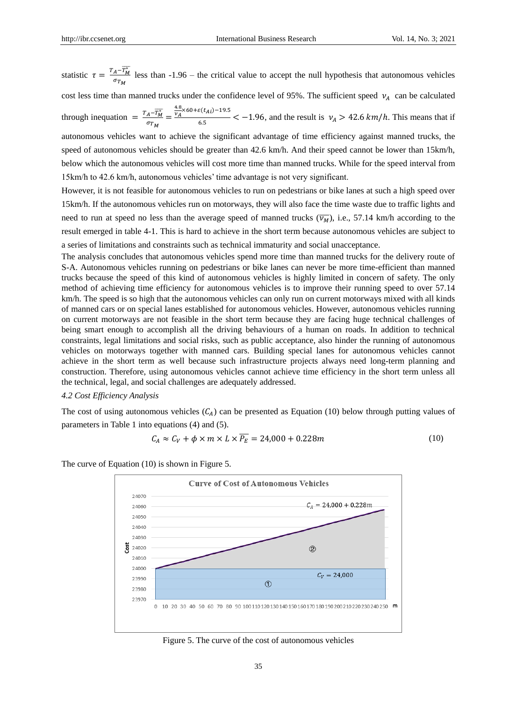statistic  $\tau = \frac{T_A - \overline{T_M^*}}{\tau}$  $\frac{A^2 + M}{\sigma_{T_M}}$  less than -1.96 – the critical value to accept the null hypothesis that autonomous vehicles cost less time than manned trucks under the confidence level of 95%. The sufficient speed  $v_A$  can be calculated through inequation =  $\frac{T_A - \overline{T_M^*}}{\sqrt{T_M^*}}$  $\frac{A M}{T M} =$  $\frac{4.8}{v_A} \times 60 + \varepsilon(t_{Ai}) - 19.5$  $\frac{1}{6.5}$  < -1.96, and the result is  $v_A > 42.6 \, \frac{km}{h}$ . This means that if autonomous vehicles want to achieve the significant advantage of time efficiency against manned trucks, the

speed of autonomous vehicles should be greater than 42.6 km/h. And their speed cannot be lower than 15km/h, below which the autonomous vehicles will cost more time than manned trucks. While for the speed interval from 15km/h to 42.6 km/h, autonomous vehicles' time advantage is not very significant.

However, it is not feasible for autonomous vehicles to run on pedestrians or bike lanes at such a high speed over 15km/h. If the autonomous vehicles run on motorways, they will also face the time waste due to traffic lights and need to run at speed no less than the average speed of manned trucks  $(\overline{v_M})$ , i.e., 57.14 km/h according to the result emerged in table 4-1. This is hard to achieve in the short term because autonomous vehicles are subject to a series of limitations and constraints such as technical immaturity and social unacceptance.

The analysis concludes that autonomous vehicles spend more time than manned trucks for the delivery route of S-A. Autonomous vehicles running on pedestrians or bike lanes can never be more time-efficient than manned trucks because the speed of this kind of autonomous vehicles is highly limited in concern of safety. The only method of achieving time efficiency for autonomous vehicles is to improve their running speed to over 57.14 km/h. The speed is so high that the autonomous vehicles can only run on current motorways mixed with all kinds of manned cars or on special lanes established for autonomous vehicles. However, autonomous vehicles running on current motorways are not feasible in the short term because they are facing huge technical challenges of being smart enough to accomplish all the driving behaviours of a human on roads. In addition to technical constraints, legal limitations and social risks, such as public acceptance, also hinder the running of autonomous vehicles on motorways together with manned cars. Building special lanes for autonomous vehicles cannot achieve in the short term as well because such infrastructure projects always need long-term planning and construction. Therefore, using autonomous vehicles cannot achieve time efficiency in the short term unless all the technical, legal, and social challenges are adequately addressed.

## *4.2 Cost Efficiency Analysis*

The cost of using autonomous vehicles  $(C_A)$  can be presented as Equation (10) below through putting values of parameters in Table 1 into equations (4) and (5).

$$
C_A \approx C_V + \phi \times m \times L \times \overline{P_E} = 24,000 + 0.228m \tag{10}
$$

The curve of Equation (10) is shown in Figure 5.



Figure 5. The curve of the cost of autonomous vehicles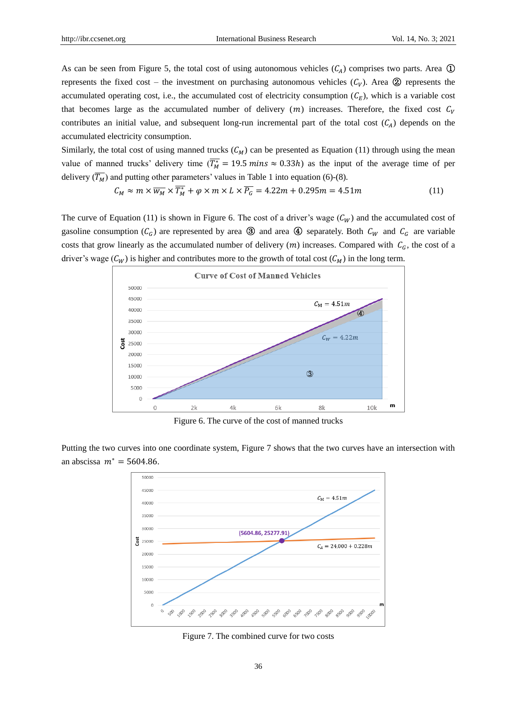As can be seen from Figure 5, the total cost of using autonomous vehicles  $(C_A)$  comprises two parts. Area  $\mathbb D$ represents the fixed cost – the investment on purchasing autonomous vehicles  $(C_V)$ . Area  $\circledR$  represents the accumulated operating cost, i.e., the accumulated cost of electricity consumption  $(C_F)$ , which is a variable cost that becomes large as the accumulated number of delivery  $(m)$  increases. Therefore, the fixed cost  $C_V$ contributes an initial value, and subsequent long-run incremental part of the total cost  $(C_4)$  depends on the accumulated electricity consumption.

Similarly, the total cost of using manned trucks  $(C_M)$  can be presented as Equation (11) through using the mean value of manned trucks' delivery time  $(\overline{T_M^*} = 19.5 \text{ mins} \approx 0.33h)$  as the input of the average time of per delivery  $(\overline{T_M})$  and putting other parameters' values in Table 1 into equation (6)-(8).

$$
C_M \approx m \times \overline{w_M} \times \overline{T_M^*} + \varphi \times m \times L \times \overline{P_G} = 4.22m + 0.295m = 4.51m \tag{11}
$$

The curve of Equation (11) is shown in Figure 6. The cost of a driver's wage  $(C_W)$  and the accumulated cost of gasoline consumption  $(C_G)$  are represented by area ③ and area ④ separately. Both  $C_W$  and  $C_G$  are variable costs that grow linearly as the accumulated number of delivery  $(m)$  increases. Compared with  $C_G$ , the cost of a driver's wage  $(\mathcal{C}_W)$  is higher and contributes more to the growth of total cost  $(\mathcal{C}_M)$  in the long term.



Figure 6. The curve of the cost of manned trucks

Putting the two curves into one coordinate system, Figure 7 shows that the two curves have an intersection with an abscissa  $m^* = 5604.86$ .



Figure 7. The combined curve for two costs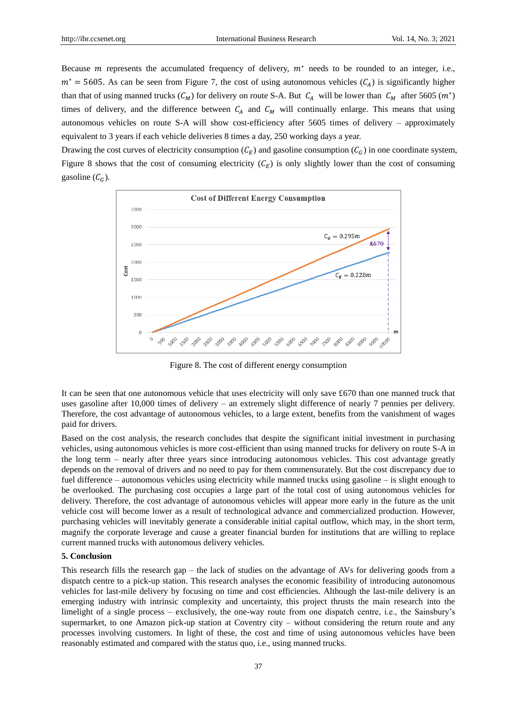Because *m* represents the accumulated frequency of delivery,  $m^*$  needs to be rounded to an integer, i.e.,  $m^*$  = 5605. As can be seen from Figure 7, the cost of using autonomous vehicles ( $C_A$ ) is significantly higher than that of using manned trucks  $(C_M)$  for delivery on route S-A. But  $C_A$  will be lower than  $C_M$  after 5605  $(m^*)$ times of delivery, and the difference between  $C_A$  and  $C_M$  will continually enlarge. This means that using autonomous vehicles on route S-A will show cost-efficiency after 5605 times of delivery – approximately equivalent to 3 years if each vehicle deliveries 8 times a day, 250 working days a year.

Drawing the cost curves of electricity consumption  $(C_E)$  and gasoline consumption  $(C_G)$  in one coordinate system, Figure 8 shows that the cost of consuming electricity  $(C_E)$  is only slightly lower than the cost of consuming gasoline  $(C_c)$ .



Figure 8. The cost of different energy consumption

It can be seen that one autonomous vehicle that uses electricity will only save £670 than one manned truck that uses gasoline after 10,000 times of delivery – an extremely slight difference of nearly 7 pennies per delivery. Therefore, the cost advantage of autonomous vehicles, to a large extent, benefits from the vanishment of wages paid for drivers.

Based on the cost analysis, the research concludes that despite the significant initial investment in purchasing vehicles, using autonomous vehicles is more cost-efficient than using manned trucks for delivery on route S-A in the long term – nearly after three years since introducing autonomous vehicles. This cost advantage greatly depends on the removal of drivers and no need to pay for them commensurately. But the cost discrepancy due to fuel difference – autonomous vehicles using electricity while manned trucks using gasoline – is slight enough to be overlooked. The purchasing cost occupies a large part of the total cost of using autonomous vehicles for delivery. Therefore, the cost advantage of autonomous vehicles will appear more early in the future as the unit vehicle cost will become lower as a result of technological advance and commercialized production. However, purchasing vehicles will inevitably generate a considerable initial capital outflow, which may, in the short term, magnify the corporate leverage and cause a greater financial burden for institutions that are willing to replace current manned trucks with autonomous delivery vehicles.

# **5. Conclusion**

This research fills the research gap – the lack of studies on the advantage of AVs for delivering goods from a dispatch centre to a pick-up station. This research analyses the economic feasibility of introducing autonomous vehicles for last-mile delivery by focusing on time and cost efficiencies. Although the last-mile delivery is an emerging industry with intrinsic complexity and uncertainty, this project thrusts the main research into the limelight of a single process – exclusively, the one-way route from one dispatch centre, i.e., the Sainsbury's supermarket, to one Amazon pick-up station at Coventry city – without considering the return route and any processes involving customers. In light of these, the cost and time of using autonomous vehicles have been reasonably estimated and compared with the status quo, i.e., using manned trucks.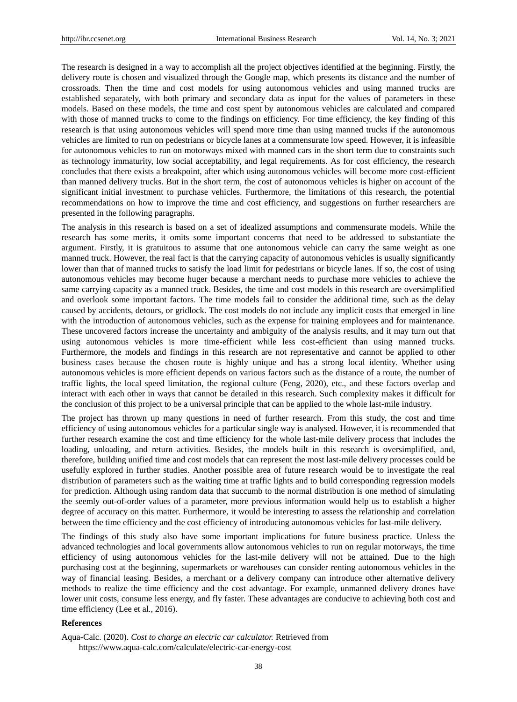The research is designed in a way to accomplish all the project objectives identified at the beginning. Firstly, the delivery route is chosen and visualized through the Google map, which presents its distance and the number of crossroads. Then the time and cost models for using autonomous vehicles and using manned trucks are established separately, with both primary and secondary data as input for the values of parameters in these models. Based on these models, the time and cost spent by autonomous vehicles are calculated and compared with those of manned trucks to come to the findings on efficiency. For time efficiency, the key finding of this research is that using autonomous vehicles will spend more time than using manned trucks if the autonomous vehicles are limited to run on pedestrians or bicycle lanes at a commensurate low speed. However, it is infeasible for autonomous vehicles to run on motorways mixed with manned cars in the short term due to constraints such as technology immaturity, low social acceptability, and legal requirements. As for cost efficiency, the research concludes that there exists a breakpoint, after which using autonomous vehicles will become more cost-efficient than manned delivery trucks. But in the short term, the cost of autonomous vehicles is higher on account of the significant initial investment to purchase vehicles. Furthermore, the limitations of this research, the potential recommendations on how to improve the time and cost efficiency, and suggestions on further researchers are presented in the following paragraphs.

The analysis in this research is based on a set of idealized assumptions and commensurate models. While the research has some merits, it omits some important concerns that need to be addressed to substantiate the argument. Firstly, it is gratuitous to assume that one autonomous vehicle can carry the same weight as one manned truck. However, the real fact is that the carrying capacity of autonomous vehicles is usually significantly lower than that of manned trucks to satisfy the load limit for pedestrians or bicycle lanes. If so, the cost of using autonomous vehicles may become huger because a merchant needs to purchase more vehicles to achieve the same carrying capacity as a manned truck. Besides, the time and cost models in this research are oversimplified and overlook some important factors. The time models fail to consider the additional time, such as the delay caused by accidents, detours, or gridlock. The cost models do not include any implicit costs that emerged in line with the introduction of autonomous vehicles, such as the expense for training employees and for maintenance. These uncovered factors increase the uncertainty and ambiguity of the analysis results, and it may turn out that using autonomous vehicles is more time-efficient while less cost-efficient than using manned trucks. Furthermore, the models and findings in this research are not representative and cannot be applied to other business cases because the chosen route is highly unique and has a strong local identity. Whether using autonomous vehicles is more efficient depends on various factors such as the distance of a route, the number of traffic lights, the local speed limitation, the regional culture (Feng, 2020), etc., and these factors overlap and interact with each other in ways that cannot be detailed in this research. Such complexity makes it difficult for the conclusion of this project to be a universal principle that can be applied to the whole last-mile industry.

The project has thrown up many questions in need of further research. From this study, the cost and time efficiency of using autonomous vehicles for a particular single way is analysed. However, it is recommended that further research examine the cost and time efficiency for the whole last-mile delivery process that includes the loading, unloading, and return activities. Besides, the models built in this research is oversimplified, and, therefore, building unified time and cost models that can represent the most last-mile delivery processes could be usefully explored in further studies. Another possible area of future research would be to investigate the real distribution of parameters such as the waiting time at traffic lights and to build corresponding regression models for prediction. Although using random data that succumb to the normal distribution is one method of simulating the seemly out-of-order values of a parameter, more previous information would help us to establish a higher degree of accuracy on this matter. Furthermore, it would be interesting to assess the relationship and correlation between the time efficiency and the cost efficiency of introducing autonomous vehicles for last-mile delivery.

The findings of this study also have some important implications for future business practice. Unless the advanced technologies and local governments allow autonomous vehicles to run on regular motorways, the time efficiency of using autonomous vehicles for the last-mile delivery will not be attained. Due to the high purchasing cost at the beginning, supermarkets or warehouses can consider renting autonomous vehicles in the way of financial leasing. Besides, a merchant or a delivery company can introduce other alternative delivery methods to realize the time efficiency and the cost advantage. For example, unmanned delivery drones have lower unit costs, consume less energy, and fly faster. These advantages are conducive to achieving both cost and time efficiency (Lee et al., 2016).

## **References**

Aqua-Calc. (2020). *Cost to charge an electric car calculator.* Retrieved from https://www.aqua-calc.com/calculate/electric-car-energy-cost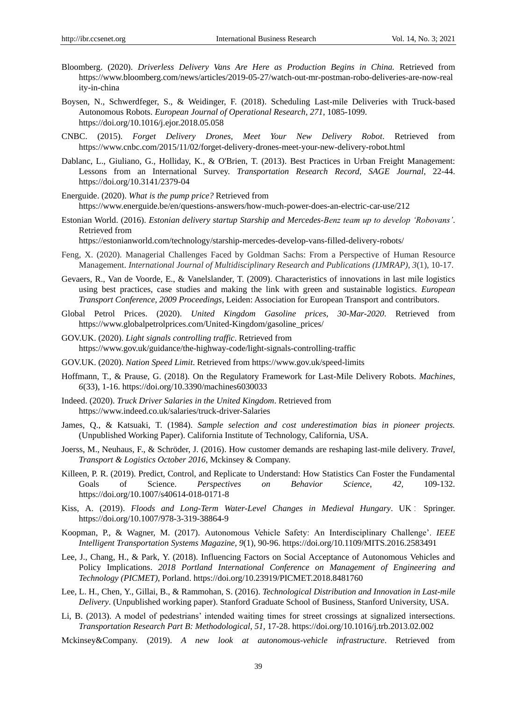- Bloomberg. (2020). *Driverless Delivery Vans Are Here as Production Begins in China.* Retrieved from https://www.bloomberg.com/news/articles/2019-05-27/watch-out-mr-postman-robo-deliveries-are-now-real ity-in-china
- Boysen, N., Schwerdfeger, S., & Weidinger, F. (2018). Scheduling Last-mile Deliveries with Truck-based Autonomous Robots. *European Journal of Operational Research*, *271,* 1085-1099. https://doi.org/10.1016/j.ejor.2018.05.058
- CNBC. (2015). *Forget Delivery Drones, Meet Your New Delivery Robot*. Retrieved from <https://www.cnbc.com/2015/11/02/forget-delivery-drones-meet-your-new-delivery-robot.html>
- Dablanc, L., Giuliano, G., Holliday, K., & O'Brien, T. (2013). Best Practices in Urban Freight Management: Lessons from an International Survey. *Transportation Research Record, SAGE Journal*, 22-44. https://doi.org/10.3141/2379-04
- Energuide. (2020). *What is the pump price?* Retrieved from https://www.energuide.be/en/questions-answers/how-much-power-does-an-electric-car-use/212
- Estonian World. (2016). *Estonian delivery startup Starship and Mercedes-Benz team up to develop 'Robovans'*. Retrieved from

<https://estonianworld.com/technology/starship-mercedes-develop-vans-filled-delivery-robots/>

- Feng, X. (2020). Managerial Challenges Faced by Goldman Sachs: From a Perspective of Human Resource Management. *International Journal of Multidisciplinary Research and Publications (IJMRAP)*, *3*(1), 10-17.
- Gevaers, R., Van de Voorde, E., & Vanelslander, T. (2009). Characteristics of innovations in last mile logistics using best practices, case studies and making the link with green and sustainable logistics. *European Transport Conference, 2009 Proceedings*, Leiden: Association for European Transport and contributors.
- Global Petrol Prices. (2020). *United Kingdom Gasoline prices, 30-Mar-2020*. Retrieved from https://www.globalpetrolprices.com/United-Kingdom/gasoline\_prices/
- GOV.UK. (2020). *Light signals controlling traffic*. Retrieved from https://www.gov.uk/guidance/the-highway-code/light-signals-controlling-traffic
- GOV.UK. (2020). *Nation Speed Limit*. Retrieved from https://www.gov.uk/speed-limits
- Hoffmann, T., & Prause, G. (2018). On the Regulatory Framework for Last-Mile Delivery Robots. *Machines*, *6*(33), 1-16. https://doi.org/10.3390/machines6030033
- Indeed. (2020). *Truck Driver Salaries in the United Kingdom*. Retrieved from https://www.indeed.co.uk/salaries/truck-driver-Salaries
- James, Q., & Katsuaki, T. (1984). *Sample selection and cost underestimation bias in pioneer projects.* (Unpublished Working Paper). California Institute of Technology, California, USA.
- Joerss, M., Neuhaus, F., & Schröder, J. (2016). How customer demands are reshaping last-mile delivery. *Travel, Transport & Logistics October 2016*, Mckinsey & Company.
- Killeen, P. R. (2019). Predict, Control, and Replicate to Understand: How Statistics Can Foster the Fundamental Goals of Science. *Perspectives on Behavior Science*, *42,* 109-132. https://doi.org/10.1007/s40614-018-0171-8
- Kiss, A. (2019). *Floods and Long-Term Water-Level Changes in Medieval Hungary*. UK : Springer. https://doi.org/10.1007/978-3-319-38864-9
- Koopman, P., & Wagner, M. (2017). Autonomous Vehicle Safety: An Interdisciplinary Challenge'. *IEEE Intelligent Transportation Systems Magazine*, *9*(1), 90-96. https://doi.org/10.1109/MITS.2016.2583491
- Lee, J., Chang, H., & Park, Y. (2018). Influencing Factors on Social Acceptance of Autonomous Vehicles and Policy Implications. *2018 Portland International Conference on Management of Engineering and Technology (PICMET)*, Porland. https://doi.org/10.23919/PICMET.2018.8481760
- Lee, L. H., Chen, Y., Gillai, B., & Rammohan, S. (2016). *Technological Distribution and Innovation in Last-mile Delivery*. (Unpublished working paper). Stanford Graduate School of Business, Stanford University, USA.
- Li, B. (2013). A model of pedestrians' intended waiting times for street crossings at signalized intersections. *Transportation Research Part B: Methodological*, *51,* 17-28. https://doi.org/10.1016/j.trb.2013.02.002
- Mckinsey&Company. (2019). *A new look at autonomous-vehicle infrastructure*. Retrieved from